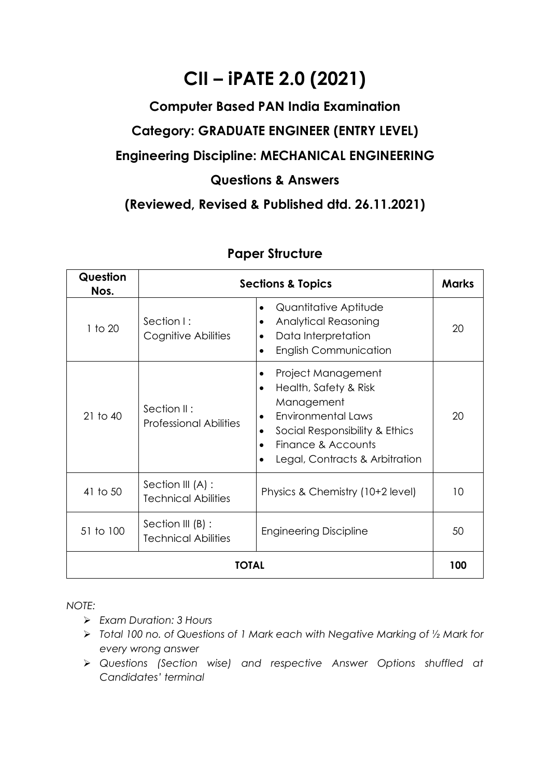## **CII – iPATE 2.0 (2021)**

## **Computer Based PAN India Examination Category: GRADUATE ENGINEER (ENTRY LEVEL) Engineering Discipline: MECHANICAL ENGINEERING Questions & Answers**

**(Reviewed, Revised & Published dtd. 26.11.2021)**

| Question<br>Nos. | <b>Sections &amp; Topics</b>                    |                                                                                                                                                                                               |    |  |  |
|------------------|-------------------------------------------------|-----------------------------------------------------------------------------------------------------------------------------------------------------------------------------------------------|----|--|--|
| $1$ to $20$      | Section I:<br>Cognitive Abilities               | Quantitative Aptitude<br><b>Analytical Reasoning</b><br>٠<br>Data Interpretation<br><b>English Communication</b>                                                                              | 20 |  |  |
| $21$ to $40$     | Section II:<br><b>Professional Abilities</b>    | Project Management<br>Health, Safety & Risk<br>$\bullet$<br>Management<br><b>Environmental Laws</b><br>Social Responsibility & Ethics<br>Finance & Accounts<br>Legal, Contracts & Arbitration | 20 |  |  |
| 41 to 50         | Section III (A) :<br><b>Technical Abilities</b> | Physics & Chemistry (10+2 level)                                                                                                                                                              | 10 |  |  |
| 51 to 100        | Section III (B) :<br><b>Technical Abilities</b> | <b>Engineering Discipline</b>                                                                                                                                                                 | 50 |  |  |
| TOTAL            |                                                 |                                                                                                                                                                                               |    |  |  |

## **Paper Structure**

*NOTE:*

- ➢ *Exam Duration: 3 Hours*
- ➢ *Total 100 no. of Questions of 1 Mark each with Negative Marking of ½ Mark for every wrong answer*
- ➢ *Questions (Section wise) and respective Answer Options shuffled at Candidates' terminal*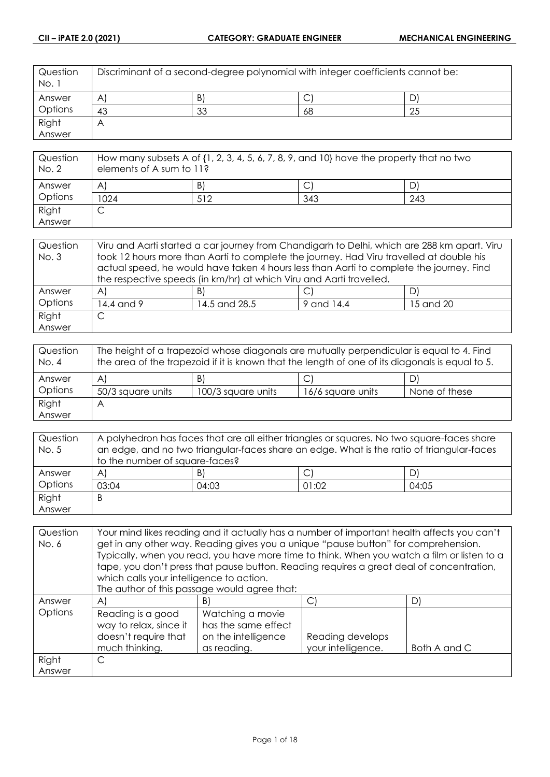| Question<br>No. 1 | Discriminant of a second-degree polynomial with integer coefficients cannot be: |    |    |    |
|-------------------|---------------------------------------------------------------------------------|----|----|----|
| Answer            | $\mathsf{A}$                                                                    | B) | ◡  | D  |
| Options           | 43                                                                              | 33 | 68 | 25 |
| Right             | $\bigwedge$                                                                     |    |    |    |
| Answer            |                                                                                 |    |    |    |

| Question<br>No. 2 | How many subsets A of $\{1, 2, 3, 4, 5, 6, 7, 8, 9,$ and $10\}$ have the property that no two<br>elements of A sum to 11? |     |     |     |
|-------------------|---------------------------------------------------------------------------------------------------------------------------|-----|-----|-----|
| Answer            | A                                                                                                                         | B)  |     | D   |
| Options           | 1024                                                                                                                      | 512 | 343 | 243 |
| Right             |                                                                                                                           |     |     |     |
| Answer            |                                                                                                                           |     |     |     |

| Question | Viru and Aarti started a car journey from Chandigarh to Delhi, which are 288 km apart. Viru                                                                                        |                                                                     |            |           |
|----------|------------------------------------------------------------------------------------------------------------------------------------------------------------------------------------|---------------------------------------------------------------------|------------|-----------|
| No. 3    | took 12 hours more than Aarti to complete the journey. Had Viru travelled at double his<br>actual speed, he would have taken 4 hours less than Aarti to complete the journey. Find |                                                                     |            |           |
|          |                                                                                                                                                                                    |                                                                     |            |           |
|          |                                                                                                                                                                                    | the respective speeds (in km/hr) at which Viru and Aarti travelled. |            |           |
| Answer   | $\mathsf{A}$                                                                                                                                                                       | B)                                                                  | С          | D)        |
| Options  | 14.4 and 9                                                                                                                                                                         | 14.5 and 28.5                                                       | 9 and 14.4 | 15 and 20 |
| Right    |                                                                                                                                                                                    |                                                                     |            |           |
| Answer   |                                                                                                                                                                                    |                                                                     |            |           |

| Question<br>No. 4 | The height of a trapezoid whose diagonals are mutually perpendicular is equal to 4. Find<br>the area of the trapezoid if it is known that the length of one of its diagonals is equal to 5. |                    |                   |               |
|-------------------|---------------------------------------------------------------------------------------------------------------------------------------------------------------------------------------------|--------------------|-------------------|---------------|
| Answer            | $\mathsf{A}$                                                                                                                                                                                | B)                 | ◡                 | D)            |
| Options           | 50/3 square units                                                                                                                                                                           | 100/3 square units | 16/6 square units | None of these |
| Right             | Α                                                                                                                                                                                           |                    |                   |               |
| Answer            |                                                                                                                                                                                             |                    |                   |               |

| Question | A polyhedron has faces that are all either triangles or squares. No two square-faces share |       |       |       |
|----------|--------------------------------------------------------------------------------------------|-------|-------|-------|
| No. 5    | an edge, and no two triangular-faces share an edge. What is the ratio of triangular-faces  |       |       |       |
|          | to the number of square-faces?                                                             |       |       |       |
| Answer   | $\mathsf{A}$                                                                               | B)    | ◡     | D)    |
| Options  | 03:04                                                                                      | 04:03 | 01:02 | 04:05 |
| Right    | B                                                                                          |       |       |       |
| Answer   |                                                                                            |       |       |       |

| Question | Your mind likes reading and it actually has a number of important health affects you can't |                                                                                             |                    |              |
|----------|--------------------------------------------------------------------------------------------|---------------------------------------------------------------------------------------------|--------------------|--------------|
| No. 6    |                                                                                            | get in any other way. Reading gives you a unique "pause button" for comprehension.          |                    |              |
|          |                                                                                            | Typically, when you read, you have more time to think. When you watch a film or listen to a |                    |              |
|          |                                                                                            | tape, you don't press that pause button. Reading requires a great deal of concentration,    |                    |              |
|          | which calls your intelligence to action.                                                   |                                                                                             |                    |              |
|          | The author of this passage would agree that:                                               |                                                                                             |                    |              |
| Answer   | $\mathsf{A}$                                                                               | B)                                                                                          | C)                 | D)           |
| Options  | Reading is a good                                                                          | Watching a movie                                                                            |                    |              |
|          | way to relax, since it                                                                     | has the same effect                                                                         |                    |              |
|          | doesn't require that                                                                       | on the intelligence                                                                         | Reading develops   |              |
|          | much thinking.                                                                             | as reading.                                                                                 | your intelligence. | Both A and C |
| Right    | C                                                                                          |                                                                                             |                    |              |
| Answer   |                                                                                            |                                                                                             |                    |              |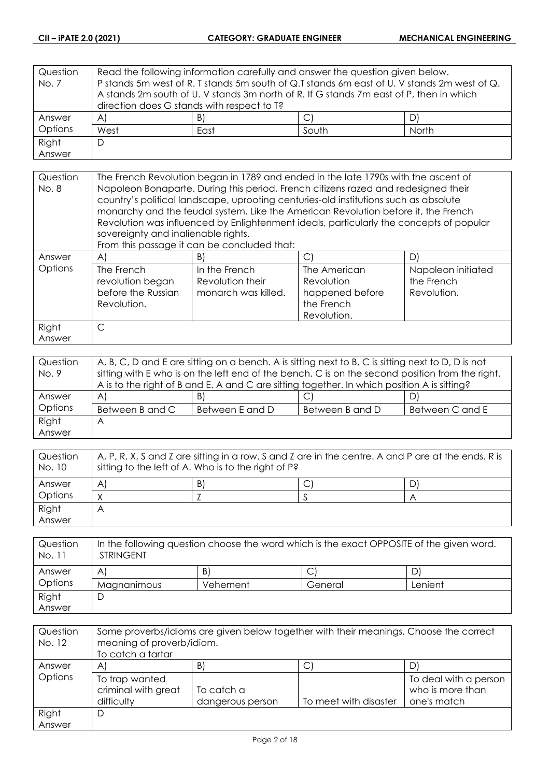| Question | Read the following information carefully and answer the question given below.               |    |                                                                                         |  |  |
|----------|---------------------------------------------------------------------------------------------|----|-----------------------------------------------------------------------------------------|--|--|
| No. 7    | P stands 5m west of R. T stands 5m south of Q.T stands 6m east of U. V stands 2m west of Q. |    |                                                                                         |  |  |
|          |                                                                                             |    | A stands 2m south of U. V stands 3m north of R. If G stands 7m east of P, then in which |  |  |
|          | direction does G stands with respect to T?                                                  |    |                                                                                         |  |  |
| Answer   | A)                                                                                          | B) |                                                                                         |  |  |
| Options  | West<br>South<br>North<br>East                                                              |    |                                                                                         |  |  |
| Right    | D                                                                                           |    |                                                                                         |  |  |
| Answer   |                                                                                             |    |                                                                                         |  |  |

| Question<br>No. 8 | The French Revolution began in 1789 and ended in the late 1790s with the ascent of<br>Napoleon Bonaparte. During this period, French citizens razed and redesigned their<br>country's political landscape, uprooting centuries-old institutions such as absolute<br>monarchy and the feudal system. Like the American Revolution before it, the French<br>Revolution was influenced by Enlightenment ideals, particularly the concepts of popular<br>sovereignty and inalienable rights.<br>From this passage it can be concluded that: |                                                          |                                                                            |                                                 |
|-------------------|-----------------------------------------------------------------------------------------------------------------------------------------------------------------------------------------------------------------------------------------------------------------------------------------------------------------------------------------------------------------------------------------------------------------------------------------------------------------------------------------------------------------------------------------|----------------------------------------------------------|----------------------------------------------------------------------------|-------------------------------------------------|
| Answer            | AI                                                                                                                                                                                                                                                                                                                                                                                                                                                                                                                                      | B)                                                       | $\mathsf{C}$                                                               | D)                                              |
| Options           | The French<br>revolution began<br>before the Russian<br>Revolution.                                                                                                                                                                                                                                                                                                                                                                                                                                                                     | In the French<br>Revolution their<br>monarch was killed. | The American<br>Revolution<br>happened before<br>the French<br>Revolution. | Napoleon initiated<br>the French<br>Revolution. |
| Right             | C                                                                                                                                                                                                                                                                                                                                                                                                                                                                                                                                       |                                                          |                                                                            |                                                 |
| Answer            |                                                                                                                                                                                                                                                                                                                                                                                                                                                                                                                                         |                                                          |                                                                            |                                                 |

| Question | A, B, C, D and E are sitting on a bench. A is sitting next to B, C is sitting next to D, D is not |                 |                 |                 |
|----------|---------------------------------------------------------------------------------------------------|-----------------|-----------------|-----------------|
| No. 9    | sitting with E who is on the left end of the bench. C is on the second position from the right.   |                 |                 |                 |
|          | A is to the right of B and E. A and C are sitting together. In which position A is sitting?       |                 |                 |                 |
| Answer   | $\forall$                                                                                         | B)              | ◡               | D)              |
| Options  | Between B and C                                                                                   | Between E and D | Between B and D | Between C and E |
| Right    | A                                                                                                 |                 |                 |                 |
| Answer   |                                                                                                   |                 |                 |                 |

| Question<br>No. 10 | $\mid$ A, P, R, X, S and Z are sitting in a row. S and Z are in the centre. A and P are at the ends. R is<br>sitting to the left of A. Who is to the right of P? |    |  |   |
|--------------------|------------------------------------------------------------------------------------------------------------------------------------------------------------------|----|--|---|
| Answer             | A                                                                                                                                                                | B) |  | D |
| Options            |                                                                                                                                                                  |    |  |   |
| Right              | Α                                                                                                                                                                |    |  |   |
| Answer             |                                                                                                                                                                  |    |  |   |

| Question<br>No. 11 | In the following question choose the word which is the exact OPPOSITE of the given word.<br><b>STRINGENT</b> |          |         |         |
|--------------------|--------------------------------------------------------------------------------------------------------------|----------|---------|---------|
| Answer             | A                                                                                                            | B)       |         |         |
| Options            | Magnanimous                                                                                                  | Vehement | General | Lenient |
| Right              |                                                                                                              |          |         |         |
| Answer             |                                                                                                              |          |         |         |

| Question<br>No. 12 | Some proverbs/idioms are given below together with their meanings. Choose the correct<br>meaning of proverb/idiom.<br>To catch a tartar |                  |                       |                       |
|--------------------|-----------------------------------------------------------------------------------------------------------------------------------------|------------------|-----------------------|-----------------------|
| Answer             | A                                                                                                                                       | B)               | ◡                     | D)                    |
| Options            | To trap wanted                                                                                                                          |                  |                       | To deal with a person |
|                    | criminal with great                                                                                                                     | To catch a       |                       | who is more than      |
|                    | difficulty                                                                                                                              | dangerous person | To meet with disaster | one's match           |
| Right              | D                                                                                                                                       |                  |                       |                       |
| Answer             |                                                                                                                                         |                  |                       |                       |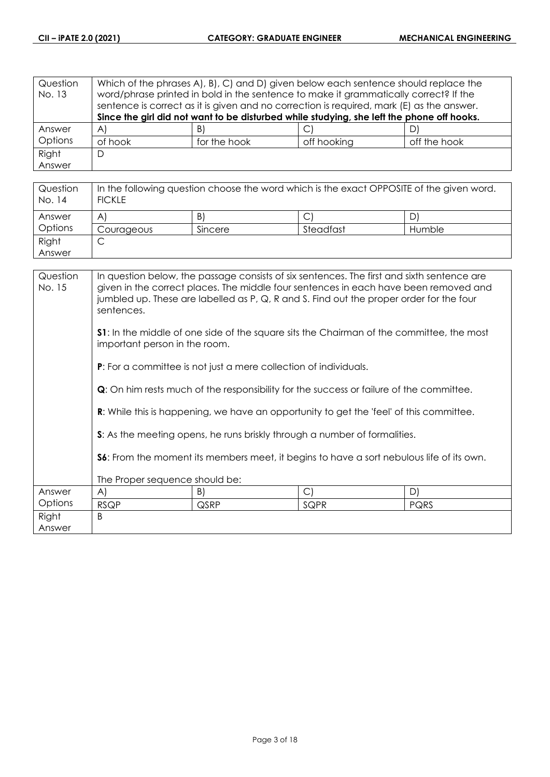| Question | Which of the phrases A), B), C) and D) given below each sentence should replace the |              |                                                                                           |              |
|----------|-------------------------------------------------------------------------------------|--------------|-------------------------------------------------------------------------------------------|--------------|
| No. 13   |                                                                                     |              | word/phrase printed in bold in the sentence to make it grammatically correct? If the      |              |
|          |                                                                                     |              | sentence is correct as it is given and no correction is required, mark (E) as the answer. |              |
|          |                                                                                     |              | Since the girl did not want to be disturbed while studying, she left the phone off hooks. |              |
| Answer   | $\forall$                                                                           | B)           |                                                                                           |              |
| Options  | of hook                                                                             | for the hook | off hooking                                                                               | off the hook |
| Right    | D                                                                                   |              |                                                                                           |              |
| Answer   |                                                                                     |              |                                                                                           |              |

| Question<br>No. 14 | In the following question choose the word which is the exact OPPOSITE of the given word.<br><b>FICKLE</b> |         |           |        |
|--------------------|-----------------------------------------------------------------------------------------------------------|---------|-----------|--------|
| Answer             | A                                                                                                         | B)      |           | D      |
| Options            | Courageous                                                                                                | Sincere | Steadfast | Humble |
| Right              | ◡                                                                                                         |         |           |        |
| Answer             |                                                                                                           |         |           |        |

| Question<br>No. 15 | In question below, the passage consists of six sentences. The first and sixth sentence are<br>given in the correct places. The middle four sentences in each have been removed and<br>jumbled up. These are labelled as P, Q, R and S. Find out the proper order for the four<br>sentences. |      |                                                                                                |             |  |
|--------------------|---------------------------------------------------------------------------------------------------------------------------------------------------------------------------------------------------------------------------------------------------------------------------------------------|------|------------------------------------------------------------------------------------------------|-------------|--|
|                    | <b>S1:</b> In the middle of one side of the square sits the Chairman of the committee, the most<br>important person in the room.                                                                                                                                                            |      |                                                                                                |             |  |
|                    | <b>P:</b> For a committee is not just a mere collection of individuals.                                                                                                                                                                                                                     |      |                                                                                                |             |  |
|                    | <b>Q</b> : On him rests much of the responsibility for the success or failure of the committee.                                                                                                                                                                                             |      |                                                                                                |             |  |
|                    |                                                                                                                                                                                                                                                                                             |      | <b>R:</b> While this is happening, we have an opportunity to get the 'feel' of this committee. |             |  |
|                    |                                                                                                                                                                                                                                                                                             |      | S: As the meeting opens, he runs briskly through a number of formalities.                      |             |  |
|                    | <b>S6:</b> From the moment its members meet, it begins to have a sort nebulous life of its own.                                                                                                                                                                                             |      |                                                                                                |             |  |
|                    | The Proper sequence should be:                                                                                                                                                                                                                                                              |      |                                                                                                |             |  |
| Answer             | A)                                                                                                                                                                                                                                                                                          | B)   | $\mathcal{C}$                                                                                  | D)          |  |
| Options            | <b>RSQP</b>                                                                                                                                                                                                                                                                                 | QSRP | SQPR                                                                                           | <b>PQRS</b> |  |
| Right              | <sub>B</sub>                                                                                                                                                                                                                                                                                |      |                                                                                                |             |  |
| Answer             |                                                                                                                                                                                                                                                                                             |      |                                                                                                |             |  |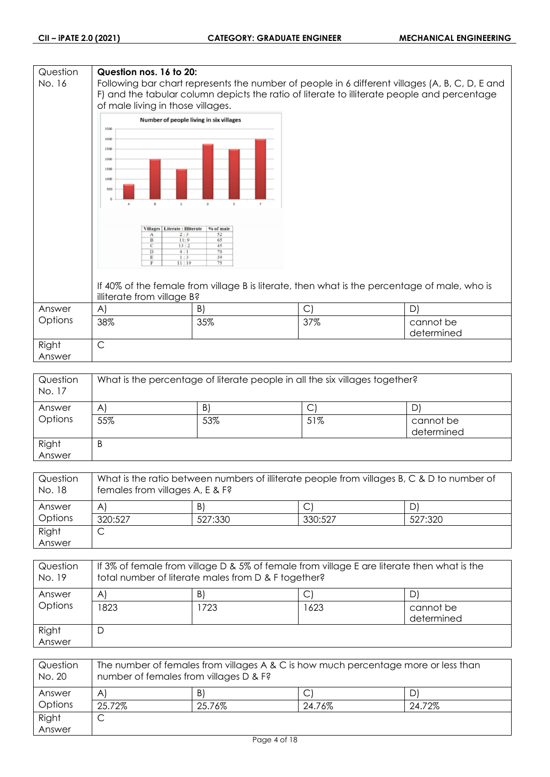## **Question Question nos. 16 to 20:** No. 16 Following bar chart represents the number of people in 6 different villages (A, B, C, D, E and F) and the tabular column depicts the ratio of literate to illiterate people and percentage of male living in those villages. Number of people living in six villages 3500 3000 2500 2000 1500  $1000$ 50 Villages | Literate : Illiterate | % of male Ť  $\frac{1}{13}$  $\overline{11}$ If 40% of the female from village B is literate, then what is the percentage of male, who is illiterate from village B? Answer A)  $|B|$   $|C|$   $|D|$ **Options** 38% 35% 37% cannot be determined Right C Answer

| Question<br>No. 17 | What is the percentage of literate people in all the six villages together? |     |     |                         |
|--------------------|-----------------------------------------------------------------------------|-----|-----|-------------------------|
| Answer             | A                                                                           | B)  | C   | D                       |
| Options            | 55%                                                                         | 53% | 51% | cannot be<br>determined |
| Right<br>Answer    | B                                                                           |     |     |                         |

| Question<br>No. 18 | What is the ratio between numbers of illiterate people from villages B, C & D to number of<br>females from villages A, E & F? |         |         |         |
|--------------------|-------------------------------------------------------------------------------------------------------------------------------|---------|---------|---------|
| Answer             | A                                                                                                                             | B)      |         | D)      |
| Options            | 320:527                                                                                                                       | 527:330 | 330:527 | 527:320 |
| Right              |                                                                                                                               |         |         |         |
| Answer             |                                                                                                                               |         |         |         |

| Question<br>No. 19 | If 3% of female from village D & 5% of female from village E are literate then what is the<br>total number of literate males from D & F together? |     |      |                         |
|--------------------|---------------------------------------------------------------------------------------------------------------------------------------------------|-----|------|-------------------------|
| Answer             | A                                                                                                                                                 | B)  |      | D,                      |
| Options            | 1823                                                                                                                                              | 723 | 1623 | cannot be<br>determined |
| Right<br>Answer    | D                                                                                                                                                 |     |      |                         |

| Question<br>No. 20 | The number of females from villages A & C is how much percentage more or less than<br>number of females from villages D & F? |        |        |        |
|--------------------|------------------------------------------------------------------------------------------------------------------------------|--------|--------|--------|
| Answer             | A                                                                                                                            | B)     |        |        |
| Options            | 25.72%                                                                                                                       | 25.76% | 24.76% | 24.72% |
| Right              | ◡                                                                                                                            |        |        |        |
| Answer             |                                                                                                                              |        |        |        |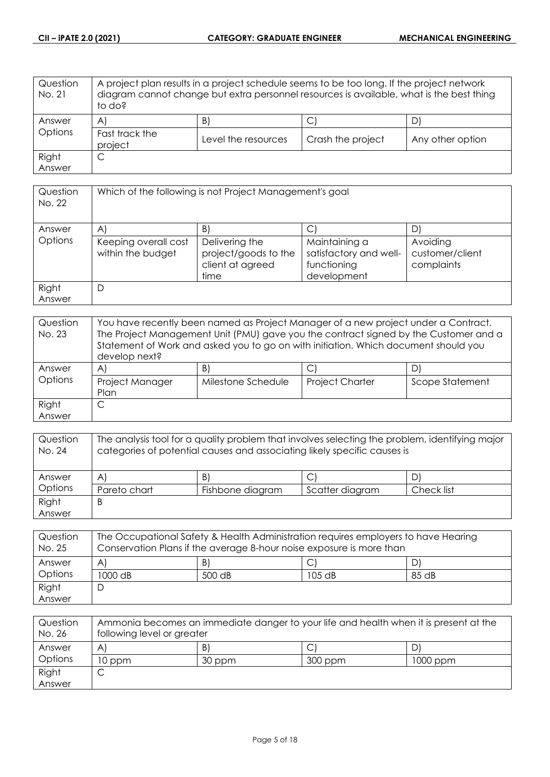| Question<br>No. 21 | A project plan results in a project schedule seems to be too long. If the project network<br>diagram cannot change but extra personnel resources is available, what is the best thing<br>to do? |                     |                   |                  |
|--------------------|-------------------------------------------------------------------------------------------------------------------------------------------------------------------------------------------------|---------------------|-------------------|------------------|
| Answer             | $\mathsf{A}^{\mathsf{c}}$                                                                                                                                                                       | B.                  | С                 |                  |
| Options            | Fast track the<br>project                                                                                                                                                                       | Level the resources | Crash the project | Any other option |
| Right              | С                                                                                                                                                                                               |                     |                   |                  |
| Answer             |                                                                                                                                                                                                 |                     |                   |                  |

| Question<br>No. 22 | Which of the following is not Project Management's goal |                                                                    |                                                                       |                                           |
|--------------------|---------------------------------------------------------|--------------------------------------------------------------------|-----------------------------------------------------------------------|-------------------------------------------|
| Answer             | A                                                       | B)                                                                 |                                                                       | D                                         |
| Options            | Keeping overall cost<br>within the budget               | Delivering the<br>project/goods to the<br>client at agreed<br>time | Maintaining a<br>satisfactory and well-<br>functioning<br>development | Avoiding<br>customer/client<br>complaints |
| Right<br>Answer    | D                                                       |                                                                    |                                                                       |                                           |

| Question<br>No. 23 | You have recently been named as Project Manager of a new project under a Contract.<br>The Project Management Unit (PMU) gave you the contract signed by the Customer and a<br>Statement of Work and asked you to go on with initiation. Which document should you<br>develop next? |                    |                        |                 |
|--------------------|------------------------------------------------------------------------------------------------------------------------------------------------------------------------------------------------------------------------------------------------------------------------------------|--------------------|------------------------|-----------------|
| Answer             | A                                                                                                                                                                                                                                                                                  | B)                 |                        |                 |
| Options            | Project Manager<br>Plan                                                                                                                                                                                                                                                            | Milestone Schedule | <b>Project Charter</b> | Scope Statement |
| Right              |                                                                                                                                                                                                                                                                                    |                    |                        |                 |
| Answer             |                                                                                                                                                                                                                                                                                    |                    |                        |                 |

| Question<br>No. 24 | The analysis tool for a quality problem that involves selecting the problem, identifying major<br>categories of potential causes and associating likely specific causes is |                  |                 |            |
|--------------------|----------------------------------------------------------------------------------------------------------------------------------------------------------------------------|------------------|-----------------|------------|
| Answer             | $\mathsf{A}$                                                                                                                                                               | B)               |                 |            |
| Options            | Pareto chart                                                                                                                                                               | Fishbone diagram | Scatter diagram | Check list |
| Right              | B                                                                                                                                                                          |                  |                 |            |
| Answer             |                                                                                                                                                                            |                  |                 |            |

| Question<br>No. 25 | The Occupational Safety & Health Administration requires employers to have Hearing<br>Conservation Plans if the average 8-hour noise exposure is more than |        |          |       |
|--------------------|------------------------------------------------------------------------------------------------------------------------------------------------------------|--------|----------|-------|
| Answer             | A                                                                                                                                                          | B)     |          |       |
| Options            | 1000 dB                                                                                                                                                    | 500 dB | $105$ dB | 85 dB |
| Right              |                                                                                                                                                            |        |          |       |
| Answer             |                                                                                                                                                            |        |          |       |

| Question<br>No. 26 | Ammonia becomes an immediate danger to your life and health when it is present at the<br>following level or greater |        |         |          |
|--------------------|---------------------------------------------------------------------------------------------------------------------|--------|---------|----------|
| Answer             | A                                                                                                                   | B.     |         |          |
| Options            | 10 ppm                                                                                                              | 30 ppm | 300 ppm | 1000 ppm |
| Right              |                                                                                                                     |        |         |          |
| Answer             |                                                                                                                     |        |         |          |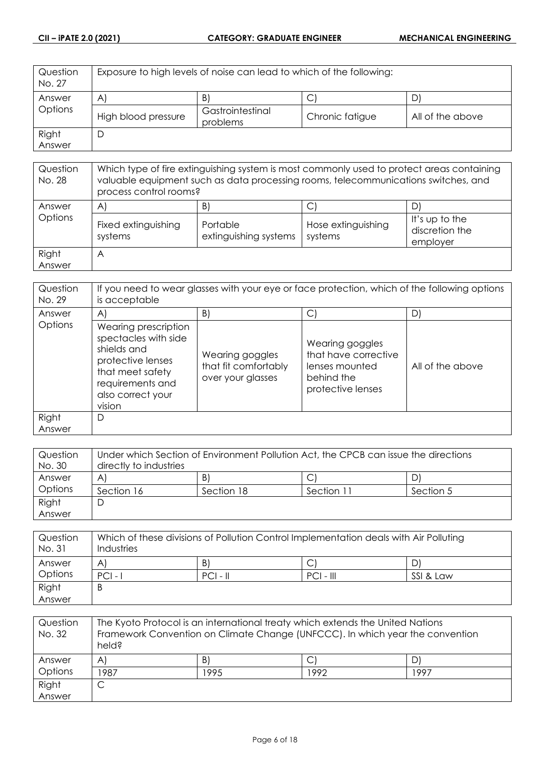| Question<br>No. 27 | Exposure to high levels of noise can lead to which of the following: |                              |                 |                  |
|--------------------|----------------------------------------------------------------------|------------------------------|-----------------|------------------|
| Answer             | $\mathsf{A}$                                                         | B.                           | Ć               |                  |
| Options            | High blood pressure                                                  | Gastrointestinal<br>problems | Chronic fatigue | All of the above |
| Right              | D                                                                    |                              |                 |                  |
| Answer             |                                                                      |                              |                 |                  |

| Question<br>No. 28 | Which type of fire extinguishing system is most commonly used to protect areas containing<br>valuable equipment such as data processing rooms, telecommunications switches, and<br>process control rooms? |                                         |                                    |                                              |
|--------------------|-----------------------------------------------------------------------------------------------------------------------------------------------------------------------------------------------------------|-----------------------------------------|------------------------------------|----------------------------------------------|
| Answer<br>Options  | $\mathsf{A}$<br>Fixed extinguishing<br>systems                                                                                                                                                            | B'<br>Portable<br>extinguishing systems | С<br>Hose extinguishing<br>systems | It's up to the<br>discretion the<br>employer |
| Right<br>Answer    | A                                                                                                                                                                                                         |                                         |                                    |                                              |

| Question<br>No. 29 | If you need to wear glasses with your eye or face protection, which of the following options<br>is acceptable                                           |                                                              |                                                                                              |                  |
|--------------------|---------------------------------------------------------------------------------------------------------------------------------------------------------|--------------------------------------------------------------|----------------------------------------------------------------------------------------------|------------------|
| Answer             | $\mathsf{A}$                                                                                                                                            | B)                                                           | С                                                                                            | D                |
| Options            | Wearing prescription<br>spectacles with side<br>shields and<br>protective lenses<br>that meet safety<br>requirements and<br>also correct your<br>vision | Wearing goggles<br>that fit comfortably<br>over your glasses | Wearing goggles<br>that have corrective<br>lenses mounted<br>behind the<br>protective lenses | All of the above |
| Right<br>Answer    | D                                                                                                                                                       |                                                              |                                                                                              |                  |

| Question | Under which Section of Environment Pollution Act, the CPCB can issue the directions |            |            |           |
|----------|-------------------------------------------------------------------------------------|------------|------------|-----------|
| No. 30   | directly to industries                                                              |            |            |           |
| Answer   | A                                                                                   | B)         |            | DI        |
| Options  | Section 16                                                                          | Section 18 | Section 11 | Section 5 |
| Right    | C                                                                                   |            |            |           |
| Answer   |                                                                                     |            |            |           |

| Question<br>No. 31 | Which of these divisions of Pollution Control Implementation deals with Air Polluting<br>Industries |            |             |           |
|--------------------|-----------------------------------------------------------------------------------------------------|------------|-------------|-----------|
| Answer             | A                                                                                                   | B)         | Ć           |           |
| Options            | $PCI -$                                                                                             | $PCI - II$ | $PCI - III$ | SSI & Law |
| Right              | B                                                                                                   |            |             |           |
| Answer             |                                                                                                     |            |             |           |

| Question<br>No. 32 | The Kyoto Protocol is an international treaty which extends the United Nations<br>Framework Convention on Climate Change (UNFCCC). In which year the convention<br>held? |      |      |      |
|--------------------|--------------------------------------------------------------------------------------------------------------------------------------------------------------------------|------|------|------|
| Answer             | $\mathsf{A}^{\cdot}$                                                                                                                                                     | B)   |      |      |
| Options            | 1987                                                                                                                                                                     | 1995 | 1992 | 1997 |
| Right              | C                                                                                                                                                                        |      |      |      |
| Answer             |                                                                                                                                                                          |      |      |      |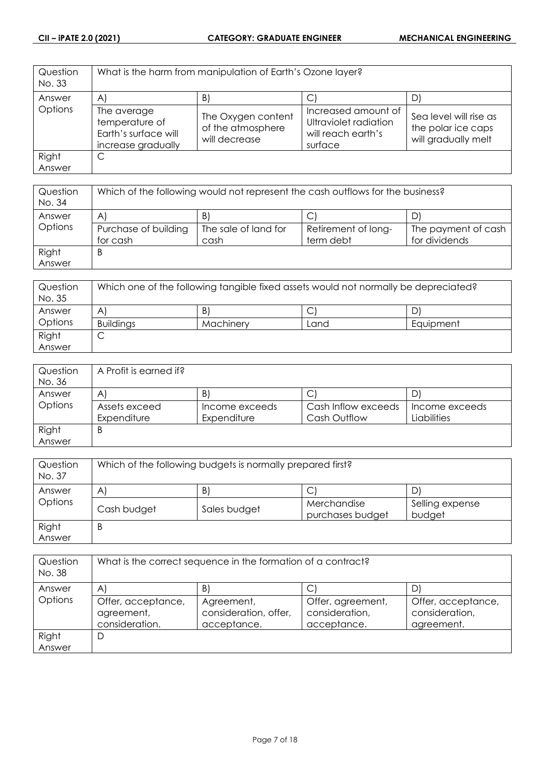| Question<br>No. 33 |                                                                             | What is the harm from manipulation of Earth's Ozone layer? |                                                                               |                                                                     |
|--------------------|-----------------------------------------------------------------------------|------------------------------------------------------------|-------------------------------------------------------------------------------|---------------------------------------------------------------------|
| Answer             | $\mathsf{A}$                                                                | B.                                                         |                                                                               |                                                                     |
| Options            | The average<br>temperature of<br>Earth's surface will<br>increase gradually | The Oxygen content<br>of the atmosphere<br>will decrease   | Increased amount of<br>Ultraviolet radiation<br>will reach earth's<br>surface | Sea level will rise as<br>the polar ice caps<br>will gradually melt |
| Right              | C                                                                           |                                                            |                                                                               |                                                                     |
| Answer             |                                                                             |                                                            |                                                                               |                                                                     |

| Question<br>No. 34 | Which of the following would not represent the cash outflows for the business? |                      |                     |                     |
|--------------------|--------------------------------------------------------------------------------|----------------------|---------------------|---------------------|
| Answer             | A                                                                              | B                    | ◡                   |                     |
| Options            | Purchase of building                                                           | The sale of land for | Retirement of long- | The payment of cash |
|                    | for cash                                                                       | cash                 | term debt           | for dividends       |
| Right              | B                                                                              |                      |                     |                     |
| Answer             |                                                                                |                      |                     |                     |

| Question<br>No. 35 | Which one of the following tangible fixed assets would not normally be depreciated? |           |      |           |
|--------------------|-------------------------------------------------------------------------------------|-----------|------|-----------|
| Answer             | A                                                                                   | B         | ◡    | D'        |
| Options            | <b>Buildings</b>                                                                    | Machinery | Land | Equipment |
| Right              | ◡                                                                                   |           |      |           |
| Answer             |                                                                                     |           |      |           |

| Question | A Profit is earned if? |                |                     |                |
|----------|------------------------|----------------|---------------------|----------------|
| No. 36   |                        |                |                     |                |
| Answer   | A                      | B              | ◡                   |                |
| Options  | Assets exceed          | Income exceeds | Cash Inflow exceeds | Income exceeds |
|          | Expenditure            | Expenditure    | Cash Outflow        | Liabilities    |
| Right    | B                      |                |                     |                |
| Answer   |                        |                |                     |                |

| Question<br>No. 37 | Which of the following budgets is normally prepared first? |              |                  |                 |
|--------------------|------------------------------------------------------------|--------------|------------------|-----------------|
| Answer             | B)<br>D<br>$\mathsf{A}$                                    |              |                  |                 |
| Options            |                                                            |              | ◡<br>Merchandise | Selling expense |
|                    | Cash budget                                                | Sales budget | purchases budget | budget          |
| Right              | B                                                          |              |                  |                 |
| Answer             |                                                            |              |                  |                 |

| Question<br>No. 38 | What is the correct sequence in the formation of a contract? |                                                    |                                                    |                                                    |
|--------------------|--------------------------------------------------------------|----------------------------------------------------|----------------------------------------------------|----------------------------------------------------|
| Answer             | $\mathsf{A}^{\prime}$                                        | B'                                                 |                                                    | D                                                  |
| Options            | Offer, acceptance,<br>agreement,<br>consideration.           | Agreement,<br>consideration, offer,<br>acceptance. | Offer, agreement,<br>consideration,<br>acceptance. | Offer, acceptance,<br>consideration,<br>agreement. |
| Right              | D                                                            |                                                    |                                                    |                                                    |
| Answer             |                                                              |                                                    |                                                    |                                                    |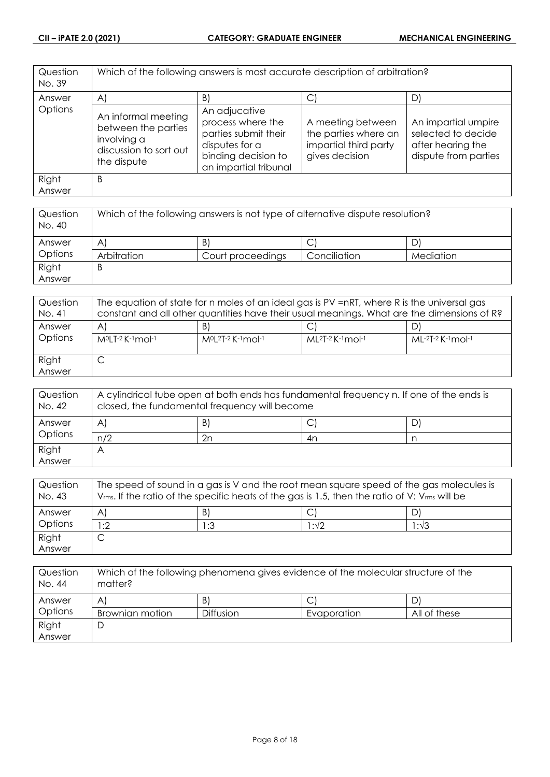| Question<br>No. 39 | Which of the following answers is most accurate description of arbitration?                        |                                                                                                                              |                                                                                      |                                                                                        |
|--------------------|----------------------------------------------------------------------------------------------------|------------------------------------------------------------------------------------------------------------------------------|--------------------------------------------------------------------------------------|----------------------------------------------------------------------------------------|
| Answer             | $\mathsf{A}$                                                                                       | $\vert B \vert$                                                                                                              | C.                                                                                   | D)                                                                                     |
| Options            | An informal meeting<br>between the parties<br>involving a<br>discussion to sort out<br>the dispute | An adjucative<br>process where the<br>parties submit their<br>disputes for a<br>binding decision to<br>an impartial tribunal | A meeting between<br>the parties where an<br>impartial third party<br>gives decision | An impartial umpire<br>selected to decide<br>after hearing the<br>dispute from parties |
| Right<br>Answer    | B                                                                                                  |                                                                                                                              |                                                                                      |                                                                                        |

| Question<br>No. 40 | Which of the following answers is not type of alternative dispute resolution? |                   |              |           |
|--------------------|-------------------------------------------------------------------------------|-------------------|--------------|-----------|
| Answer             | $\mathsf{A}^{\prime}$                                                         | B)                | ◡            |           |
| Options            | Arbitration                                                                   | Court proceedings | Conciliation | Mediation |
| Right              | B                                                                             |                   |              |           |
| Answer             |                                                                               |                   |              |           |

| Question<br>No. 41 | The equation of state for n moles of an ideal gas is PV =nRT, where R is the universal gas<br>constant and all other quantities have their usual meanings. What are the dimensions of R? |                                  |                             |                     |
|--------------------|------------------------------------------------------------------------------------------------------------------------------------------------------------------------------------------|----------------------------------|-----------------------------|---------------------|
| Answer<br>Options  | A<br>M <sup>o</sup> LT-2 K-1 mol-1                                                                                                                                                       | B<br>$M^{0}[2T-2K^{-1}mol^{-1}]$ | $ML^{2}T-2$ K $-1$ mol $-1$ | $ML-2T-2$ K-1 mol-1 |
| Right<br>Answer    | ◡                                                                                                                                                                                        |                                  |                             |                     |

| Question<br>No. 42 | A cylindrical tube open at both ends has fundamental frequency n. If one of the ends is<br>closed, the fundamental frequency will become |    |    |   |
|--------------------|------------------------------------------------------------------------------------------------------------------------------------------|----|----|---|
| Answer             | A                                                                                                                                        | B) | ◡  | D |
| Options            | n/2                                                                                                                                      | 2n | 4n |   |
| Right              |                                                                                                                                          |    |    |   |
| Answer             |                                                                                                                                          |    |    |   |

| Question<br>No. 43 | The speed of sound in a gas is V and the root mean square speed of the gas molecules is<br>$V_{rms}$ . If the ratio of the specific heats of the gas is 1.5, then the ratio of V: $V_{rms}$ will be |     |      |               |
|--------------------|-----------------------------------------------------------------------------------------------------------------------------------------------------------------------------------------------------|-----|------|---------------|
| Answer             | $\mathsf{A}$                                                                                                                                                                                        | B)  |      |               |
| Options            | 1:2                                                                                                                                                                                                 | 1:3 | l∶√2 | $1:1\sqrt{3}$ |
| Right              | ◡                                                                                                                                                                                                   |     |      |               |
| Answer             |                                                                                                                                                                                                     |     |      |               |

| Question<br>No. 44 | Which of the following phenomena gives evidence of the molecular structure of the<br>matter? |                  |             |              |
|--------------------|----------------------------------------------------------------------------------------------|------------------|-------------|--------------|
| Answer             | Α                                                                                            | B)               |             |              |
| Options            | Brownian motion                                                                              | <b>Diffusion</b> | Evaporation | All of these |
| Right              |                                                                                              |                  |             |              |
| Answer             |                                                                                              |                  |             |              |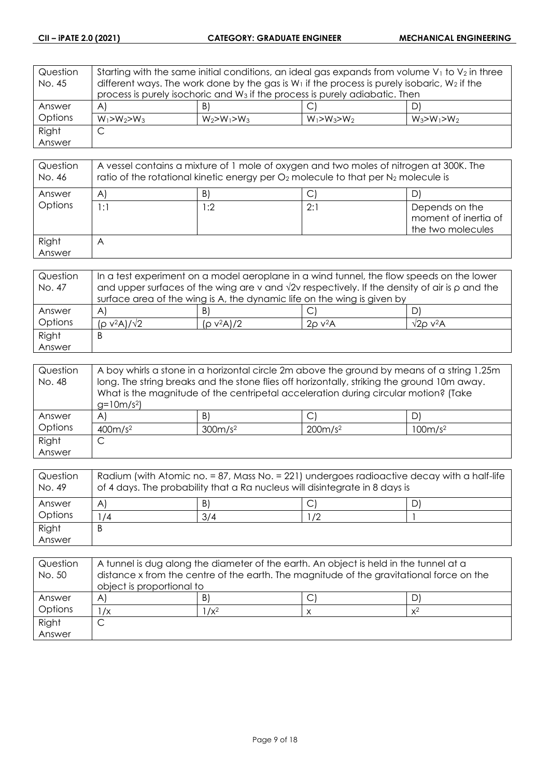| Question | Starting with the same initial conditions, an ideal gas expands from volume $V_1$ to $V_2$ in three |                                                                                         |                   |                   |
|----------|-----------------------------------------------------------------------------------------------------|-----------------------------------------------------------------------------------------|-------------------|-------------------|
| No. 45   | different ways. The work done by the gas is $W_1$ if the process is purely isobaric, $W_2$ if the   |                                                                                         |                   |                   |
|          |                                                                                                     | process is purely isochoric and W <sub>3</sub> if the process is purely adiabatic. Then |                   |                   |
| Answer   | $\mathsf{A}$                                                                                        | B)                                                                                      |                   | D'                |
| Options  | $W_1 > W_2 > W_3$                                                                                   | $W_2 > W_1 > W_3$                                                                       | $W_1 > W_3 > W_2$ | $W_3 > W_1 > W_2$ |
| Right    | С                                                                                                   |                                                                                         |                   |                   |
| Answer   |                                                                                                     |                                                                                         |                   |                   |

| Question<br>No. 46 | A vessel contains a mixture of 1 mole of oxygen and two moles of nitrogen at 300K. The<br>ratio of the rotational kinetic energy per $O_2$ molecule to that per $N_2$ molecule is |     |     |                                                             |
|--------------------|-----------------------------------------------------------------------------------------------------------------------------------------------------------------------------------|-----|-----|-------------------------------------------------------------|
| Answer             | $\mathsf{A}$                                                                                                                                                                      | B)  |     |                                                             |
| Options            | l : 1                                                                                                                                                                             | ∣:2 | 2:1 | Depends on the<br>moment of inertia of<br>the two molecules |
| Right<br>Answer    | A                                                                                                                                                                                 |     |     |                                                             |

| Question | In a test experiment on a model aeroplane in a wind tunnel, the flow speeds on the lower                   |               |                          |                     |
|----------|------------------------------------------------------------------------------------------------------------|---------------|--------------------------|---------------------|
| No. 47   | and upper surfaces of the wing are v and $\sqrt{2}v$ respectively. If the density of air is $\rho$ and the |               |                          |                     |
|          | surface area of the wing is A, the dynamic life on the wing is given by                                    |               |                          |                     |
| Answer   | A                                                                                                          | B.            |                          |                     |
| Options  | $(\rho$ v <sup>2</sup> A)/ $\sqrt{2}$                                                                      | $(p v^2 A)/2$ | $2\rho$ v <sup>2</sup> A | $\sqrt{2}$ o v $2A$ |
| Right    | Β                                                                                                          |               |                          |                     |
| Answer   |                                                                                                            |               |                          |                     |

| Question | A boy whirls a stone in a horizontal circle 2m above the ground by means of a string 1.25m  |                     |                                                                                     |                     |
|----------|---------------------------------------------------------------------------------------------|---------------------|-------------------------------------------------------------------------------------|---------------------|
| No. 48   | long. The string breaks and the stone flies off horizontally, striking the ground 10m away. |                     |                                                                                     |                     |
|          |                                                                                             |                     | What is the magnitude of the centripetal acceleration during circular motion? (Take |                     |
|          | $g=10m/s^2$                                                                                 |                     |                                                                                     |                     |
| Answer   | $\mathsf{A}$                                                                                | B)                  |                                                                                     | D                   |
| Options  | 400m/s <sup>2</sup>                                                                         | 300m/s <sup>2</sup> | 200m/s <sup>2</sup>                                                                 | 100m/s <sup>2</sup> |
| Right    | ◡                                                                                           |                     |                                                                                     |                     |
| Answer   |                                                                                             |                     |                                                                                     |                     |

| Question<br>No. 49 | Radium (with Atomic no. = 87, Mass No. = 221) undergoes radioactive decay with a half-life<br>of 4 days. The probability that a Ra nucleus will disintegrate in 8 days is |     |    |  |
|--------------------|---------------------------------------------------------------------------------------------------------------------------------------------------------------------------|-----|----|--|
| Answer             | A                                                                                                                                                                         | B   |    |  |
| Options            | 74                                                                                                                                                                        | 3/4 | /2 |  |
| Right              | B                                                                                                                                                                         |     |    |  |
| Answer             |                                                                                                                                                                           |     |    |  |

| Question<br>No. 50 | A tunnel is dug along the diameter of the earth. An object is held in the tunnel at a<br>distance x from the centre of the earth. The magnitude of the gravitational force on the<br>object is proportional to |         |  |       |
|--------------------|----------------------------------------------------------------------------------------------------------------------------------------------------------------------------------------------------------------|---------|--|-------|
| Answer             | A                                                                                                                                                                                                              | B       |  |       |
| Options            | $\sqrt{x}$                                                                                                                                                                                                     | $1/x^2$ |  | $x^2$ |
| Right              |                                                                                                                                                                                                                |         |  |       |
| Answer             |                                                                                                                                                                                                                |         |  |       |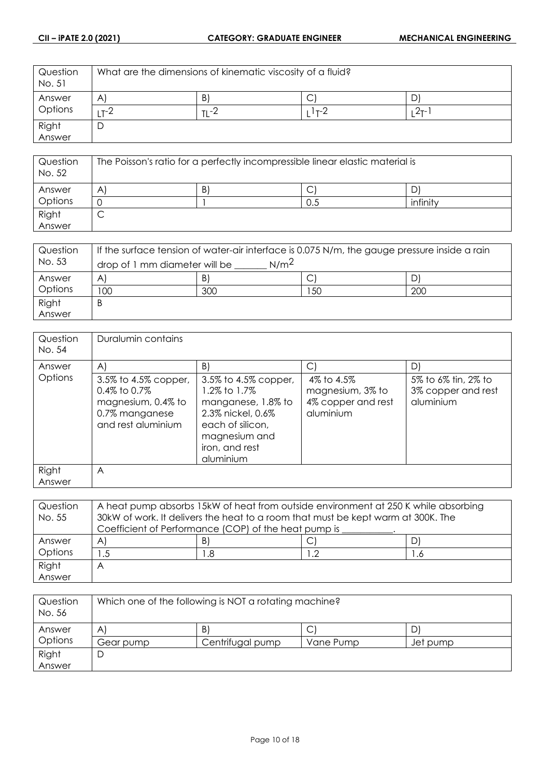| Question<br>No. 51 | What are the dimensions of kinematic viscosity of a fluid? |              |      |          |
|--------------------|------------------------------------------------------------|--------------|------|----------|
| Answer             | $\mathsf{A}$                                               | $\mathsf{B}$ | ◡    | D        |
| Options            | T-Z                                                        | $T1 - 2$     | 1--2 | $2T - 1$ |
| Right              |                                                            |              |      |          |
| Answer             |                                                            |              |      |          |

| Question<br>No. 52 | The Poisson's ratio for a perfectly incompressible linear elastic material is |    |     |          |
|--------------------|-------------------------------------------------------------------------------|----|-----|----------|
| Answer             | A                                                                             | B) | ◡   |          |
| Options            |                                                                               |    | 0.5 | infinity |
| Right              |                                                                               |    |     |          |
| Answer             |                                                                               |    |     |          |

| Question<br>No. 53 | If the surface tension of water-air interface is 0.075 N/m, the gauge pressure inside a rain<br>N/m <sup>2</sup><br>drop of 1 mm diameter will be |     |    |     |
|--------------------|---------------------------------------------------------------------------------------------------------------------------------------------------|-----|----|-----|
| Answer             | A                                                                                                                                                 | B)  | ◡  |     |
| Options            | 100                                                                                                                                               | 300 | 50 | 200 |
| Right              | Β                                                                                                                                                 |     |    |     |
| Answer             |                                                                                                                                                   |     |    |     |

| Question<br>No. 54 | Duralumin contains                                                                                                       |                                                                                                                                                                            |                                                                         |                                                              |
|--------------------|--------------------------------------------------------------------------------------------------------------------------|----------------------------------------------------------------------------------------------------------------------------------------------------------------------------|-------------------------------------------------------------------------|--------------------------------------------------------------|
| Answer<br>Options  | $\mathsf{A}$<br>3.5% to 4.5% copper,<br>$0.4\%$ to $0.7\%$<br>magnesium, 0.4% to<br>0.7% manganese<br>and rest aluminium | $\lfloor B \rfloor$<br>3.5% to 4.5% copper,<br>1.2% to 1.7%<br>manganese, 1.8% to<br>2.3% nickel, 0.6%<br>each of silicon,<br>magnesium and<br>iron, and rest<br>aluminium | C <br>4% to 4.5%<br>magnesium, 3% to<br>4% copper and rest<br>aluminium | D.<br>5% to 6% tin, 2% to<br>3% copper and rest<br>aluminium |
| Right<br>Answer    | A                                                                                                                        |                                                                                                                                                                            |                                                                         |                                                              |

| Question | A heat pump absorbs 15kW of heat from outside environment at 250 K while absorbing |     |    |    |
|----------|------------------------------------------------------------------------------------|-----|----|----|
| No. 55   | 30kW of work. It delivers the heat to a room that must be kept warm at 300K. The   |     |    |    |
|          | Coefficient of Performance (COP) of the heat pump is                               |     |    |    |
| Answer   | A                                                                                  | -B) |    |    |
| Options  | . .5                                                                               | .8  | .2 | .6 |
| Right    | Α                                                                                  |     |    |    |
| Answer   |                                                                                    |     |    |    |

| Question<br>No. 56 | Which one of the following is NOT a rotating machine? |                  |           |          |
|--------------------|-------------------------------------------------------|------------------|-----------|----------|
| Answer             | Α                                                     | B)               | ◡         | D        |
| Options            | Gear pump                                             | Centrifugal pump | Vane Pump | Jet pump |
| Right              | ◡                                                     |                  |           |          |
| Answer             |                                                       |                  |           |          |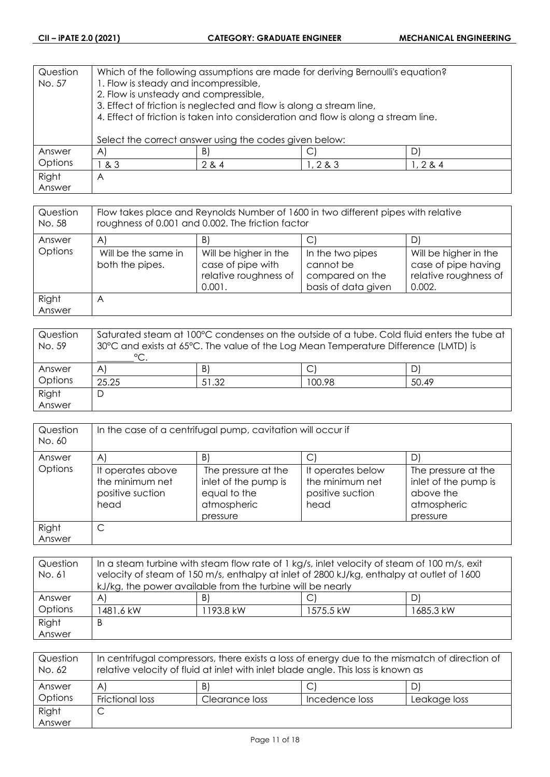| Question | Which of the following assumptions are made for deriving Bernoulli's equation?     |                                                        |        |            |
|----------|------------------------------------------------------------------------------------|--------------------------------------------------------|--------|------------|
| No. 57   | 1. Flow is steady and incompressible,                                              |                                                        |        |            |
|          | 2. Flow is unsteady and compressible,                                              |                                                        |        |            |
|          | 3. Effect of friction is neglected and flow is along a stream line,                |                                                        |        |            |
|          | 4. Effect of friction is taken into consideration and flow is along a stream line. |                                                        |        |            |
|          |                                                                                    |                                                        |        |            |
|          |                                                                                    | Select the correct answer using the codes given below: |        |            |
| Answer   | $\mathsf{A}$                                                                       | B)                                                     |        |            |
| Options  | & 3                                                                                | 2 & 4                                                  | 1, 283 | 1, 2, 8, 4 |
| Right    | A                                                                                  |                                                        |        |            |
| Answer   |                                                                                    |                                                        |        |            |

| Question<br>No. 58 | Flow takes place and Reynolds Number of 1600 in two different pipes with relative<br>roughness of 0.001 and 0.002. The friction factor |                                                                               |                                                                         |                                                                                 |
|--------------------|----------------------------------------------------------------------------------------------------------------------------------------|-------------------------------------------------------------------------------|-------------------------------------------------------------------------|---------------------------------------------------------------------------------|
| Answer             | A                                                                                                                                      | B)                                                                            |                                                                         | D.                                                                              |
| Options            | Will be the same in<br>both the pipes.                                                                                                 | Will be higher in the<br>case of pipe with<br>relative roughness of<br>0.001. | In the two pipes<br>cannot be<br>compared on the<br>basis of data given | Will be higher in the<br>case of pipe having<br>relative roughness of<br>0.002. |
| Right<br>Answer    | A                                                                                                                                      |                                                                               |                                                                         |                                                                                 |

| Question<br>No. 59 | Saturated steam at 100°C condenses on the outside of a tube. Cold fluid enters the tube at<br>30°C and exists at 65°C. The value of the Log Mean Temperature Difference (LMTD) is<br>$^{\circ}$ C. |       |        |       |
|--------------------|----------------------------------------------------------------------------------------------------------------------------------------------------------------------------------------------------|-------|--------|-------|
| Answer             | $\mathsf{A}^{\scriptscriptstyle{\parallel}}$                                                                                                                                                       | B)    |        | DI    |
| Options            | 25.25                                                                                                                                                                                              | 51.32 | 100.98 | 50.49 |
| Right              |                                                                                                                                                                                                    |       |        |       |
| Answer             |                                                                                                                                                                                                    |       |        |       |

| Question<br>No. 60 | In the case of a centrifugal pump, cavitation will occur if      |                                                                                        |                                                                  |                                                                                     |
|--------------------|------------------------------------------------------------------|----------------------------------------------------------------------------------------|------------------------------------------------------------------|-------------------------------------------------------------------------------------|
| Answer             | A                                                                | B)                                                                                     |                                                                  | D                                                                                   |
| Options            | It operates above<br>the minimum net<br>positive suction<br>head | The pressure at the<br>inlet of the pump is<br>equal to the<br>atmospheric<br>pressure | It operates below<br>the minimum net<br>positive suction<br>head | The pressure at the<br>inlet of the pump is<br>above the<br>atmospheric<br>pressure |
| Right              |                                                                  |                                                                                        |                                                                  |                                                                                     |
| Answer             |                                                                  |                                                                                        |                                                                  |                                                                                     |

| Question | In a steam turbine with steam flow rate of 1 kg/s, inlet velocity of steam of 100 m/s, exit |           |                        |           |  |
|----------|---------------------------------------------------------------------------------------------|-----------|------------------------|-----------|--|
| No. 61   | velocity of steam of 150 m/s, enthalpy at inlet of 2800 kJ/kg, enthalpy at outlet of 1600   |           |                        |           |  |
|          | kJ/kg, the power available from the turbine will be nearly                                  |           |                        |           |  |
| Answer   | $\mathsf{A}$                                                                                | B)        | $\mathcal{C}^{\prime}$ | D)        |  |
| Options  | 1481.6 kW                                                                                   | 1193.8 kW | 1575.5 kW              | 1685.3 kW |  |
| Right    | B                                                                                           |           |                        |           |  |
| Answer   |                                                                                             |           |                        |           |  |

| Question<br>No. 62 | In centrifugal compressors, there exists a loss of energy due to the mismatch of direction of<br>relative velocity of fluid at inlet with inlet blade angle. This loss is known as |                |                |              |
|--------------------|------------------------------------------------------------------------------------------------------------------------------------------------------------------------------------|----------------|----------------|--------------|
| Answer             | A                                                                                                                                                                                  | B              |                |              |
| Options            | Frictional loss                                                                                                                                                                    | Clearance loss | Incedence loss | Leakage loss |
| Right              | ◡                                                                                                                                                                                  |                |                |              |
| Answer             |                                                                                                                                                                                    |                |                |              |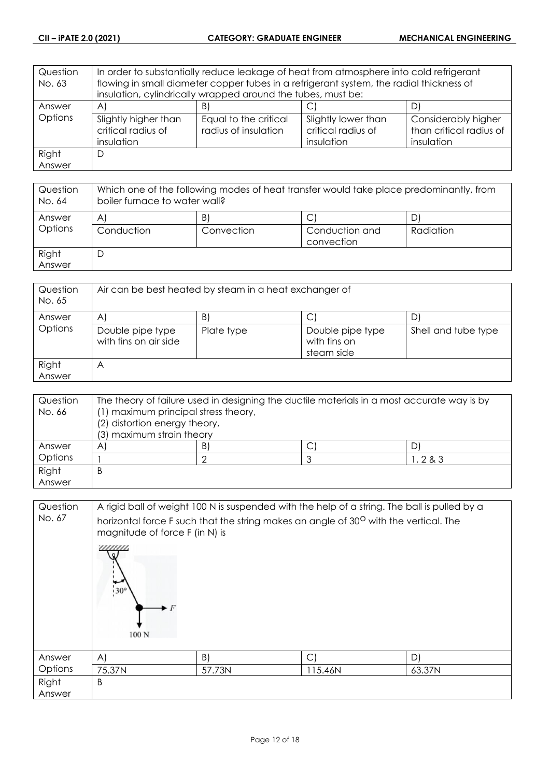| Question | In order to substantially reduce leakage of heat from atmosphere into cold refrigerant  |                                                              |                     |                         |
|----------|-----------------------------------------------------------------------------------------|--------------------------------------------------------------|---------------------|-------------------------|
| No. 63   | flowing in small diameter copper tubes in a refrigerant system, the radial thickness of |                                                              |                     |                         |
|          |                                                                                         | insulation, cylindrically wrapped around the tubes, must be: |                     |                         |
| Answer   | $\mathsf{A}$                                                                            | B.                                                           | C                   |                         |
| Options  | Slightly higher than                                                                    | Equal to the critical                                        | Slightly lower than | Considerably higher     |
|          | critical radius of                                                                      | radius of insulation                                         | critical radius of  | than critical radius of |
|          | insulation                                                                              |                                                              | insulation          | insulation              |
| Right    | D                                                                                       |                                                              |                     |                         |
| Answer   |                                                                                         |                                                              |                     |                         |

| Question<br>No. 64 | Which one of the following modes of heat transfer would take place predominantly, from<br>boiler furnace to water wall? |                  |                                   |           |
|--------------------|-------------------------------------------------------------------------------------------------------------------------|------------------|-----------------------------------|-----------|
| Answer<br>Options  | A'<br>Conduction                                                                                                        | B)<br>Convection | С<br>Conduction and<br>convection | Radiation |
| Right<br>Answer    | D                                                                                                                       |                  |                                   |           |

| Question<br>No. 65 | Air can be best heated by steam in a heat exchanger of |            |                                                |                     |
|--------------------|--------------------------------------------------------|------------|------------------------------------------------|---------------------|
| Answer             | Α                                                      | B)         |                                                |                     |
| Options            | Double pipe type<br>with fins on air side              | Plate type | Double pipe type<br>with fins on<br>steam side | Shell and tube type |
| Right<br>Answer    | А                                                      |            |                                                |                     |

| Question | The theory of failure used in designing the ductile materials in a most accurate way is by |    |  |            |
|----------|--------------------------------------------------------------------------------------------|----|--|------------|
| No. 66   | (1) maximum principal stress theory,                                                       |    |  |            |
|          | (2) distortion energy theory,                                                              |    |  |            |
|          | (3) maximum strain theory                                                                  |    |  |            |
| Answer   | A                                                                                          | B) |  |            |
| Options  |                                                                                            |    |  | 1, 2, 8, 3 |
| Right    | Β                                                                                          |    |  |            |
| Answer   |                                                                                            |    |  |            |

| Question<br>No. 67 |                      | A rigid ball of weight 100 N is suspended with the help of a string. The ball is pulled by a<br>horizontal force F such that the string makes an angle of 30 <sup>0</sup> with the vertical. The<br>magnitude of force F (in N) is |         |        |  |  |
|--------------------|----------------------|------------------------------------------------------------------------------------------------------------------------------------------------------------------------------------------------------------------------------------|---------|--------|--|--|
|                    | $130^\circ$<br>100 N |                                                                                                                                                                                                                                    |         |        |  |  |
| Answer             | A)                   | B)                                                                                                                                                                                                                                 | C       | D)     |  |  |
| Options            | 75.37N               | 57.73N                                                                                                                                                                                                                             | 115.46N | 63.37N |  |  |
| Right<br>Answer    | B                    |                                                                                                                                                                                                                                    |         |        |  |  |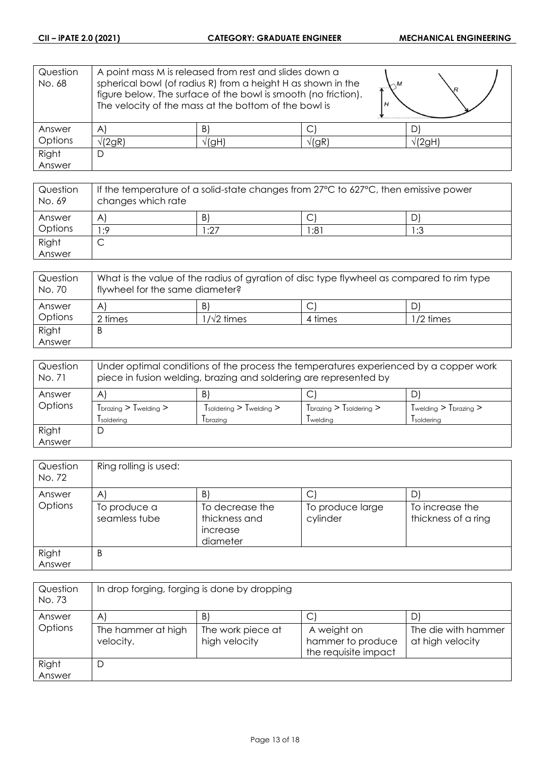| Question<br>No. 68 | A point mass M is released from rest and slides down a<br>spherical bowl (of radius R) from a height H as shown in the<br>figure below. The surface of the bowl is smooth (no friction).<br>The velocity of the mass at the bottom of the bowl is |             |             | .R             |
|--------------------|---------------------------------------------------------------------------------------------------------------------------------------------------------------------------------------------------------------------------------------------------|-------------|-------------|----------------|
| Answer             | $\forall$                                                                                                                                                                                                                                         | B           |             |                |
| Options            | /(2gR)                                                                                                                                                                                                                                            | $\sqrt{gH}$ | $\sqrt{gR}$ | $\sqrt{2}$ gH) |
| Right              | D                                                                                                                                                                                                                                                 |             |             |                |
| Answer             |                                                                                                                                                                                                                                                   |             |             |                |

| Question<br>No. 69 | If the temperature of a solid-state changes from 27°C to 627°C, then emissive power<br>changes which rate |      |     |     |
|--------------------|-----------------------------------------------------------------------------------------------------------|------|-----|-----|
| Answer             | A                                                                                                         | B)   | ◡   |     |
| Options            | ۰.9                                                                                                       | 1:27 | :81 | 1:3 |
| Right              | ◡                                                                                                         |      |     |     |
| Answer             |                                                                                                           |      |     |     |

| Question<br>No. 70 | What is the value of the radius of gyration of disc type flywheel as compared to rim type<br>flywheel for the same diameter? |            |         |             |
|--------------------|------------------------------------------------------------------------------------------------------------------------------|------------|---------|-------------|
| Answer             | A                                                                                                                            | B)         | ⌒<br>◡  |             |
| Options            | 2 times                                                                                                                      | ∣/√2 times | 4 times | $1/2$ times |
| Right              | B                                                                                                                            |            |         |             |
| Answer             |                                                                                                                              |            |         |             |

| Question<br>No. 71 | Under optimal conditions of the process the temperatures experienced by a copper work<br>piece in fusion welding, brazing and soldering are represented by |                                                 |                           |                                               |
|--------------------|------------------------------------------------------------------------------------------------------------------------------------------------------------|-------------------------------------------------|---------------------------|-----------------------------------------------|
| Answer             | A                                                                                                                                                          | B)                                              | С                         | DI                                            |
| Options            | $Tbrazing > Twelding > 0$                                                                                                                                  | $T_{\text{soldering}}$ > $T_{\text{welding}}$ > | $Tbrazing > Tsoldering >$ | $T_{\text{welding}}$ > $T_{\text{brazing}}$ > |
|                    | soldering                                                                                                                                                  | <i>I</i> brazing                                | Twelding                  | <i>soldering</i>                              |
| Right              |                                                                                                                                                            |                                                 |                           |                                               |
| Answer             |                                                                                                                                                            |                                                 |                           |                                               |

| Question<br>No. 72 | Ring rolling is used:         |                                                          |                              |                                        |
|--------------------|-------------------------------|----------------------------------------------------------|------------------------------|----------------------------------------|
| Answer             | A                             | $\mathsf{B}$                                             | С                            | D                                      |
| Options            | To produce a<br>seamless tube | To decrease the<br>thickness and<br>increase<br>diameter | To produce large<br>cylinder | To increase the<br>thickness of a ring |
| Right              | B                             |                                                          |                              |                                        |
| Answer             |                               |                                                          |                              |                                        |

| Question<br>No. 73 | In drop forging, forging is done by dropping |                                    |                                                          |                                         |
|--------------------|----------------------------------------------|------------------------------------|----------------------------------------------------------|-----------------------------------------|
| Answer             | A'                                           | B)                                 | С                                                        | D                                       |
| Options            | The hammer at high<br>velocity.              | The work piece at<br>high velocity | A weight on<br>hammer to produce<br>the requisite impact | The die with hammer<br>at high velocity |
| Right<br>Answer    | D                                            |                                    |                                                          |                                         |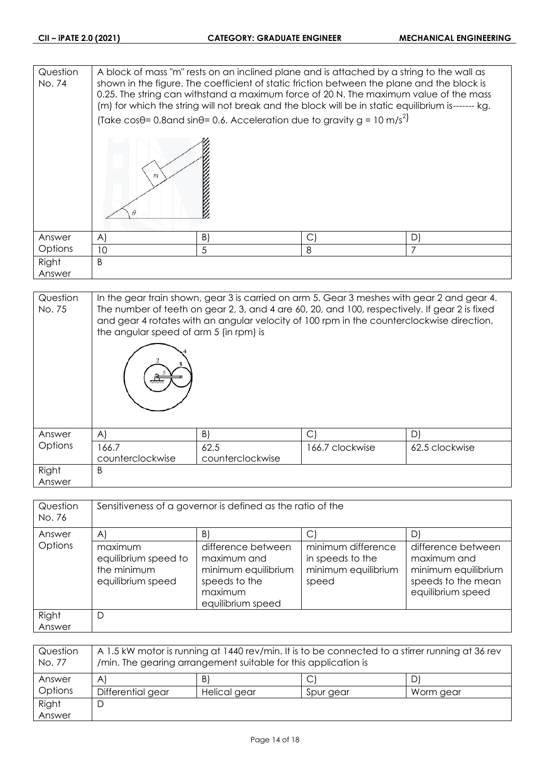| Question<br>No. 74 | A block of mass "m" rests on an inclined plane and is attached by a string to the wall as<br>shown in the figure. The coefficient of static friction between the plane and the block is<br>0.25. The string can withstand a maximum force of 20 N. The maximum value of the mass<br>(m) for which the string will not break and the block will be in static equilibrium is------- kg.<br>(Take cos $\theta$ = 0.8 and sin $\theta$ = 0.6. Acceleration due to gravity g = 10 m/s <sup>2</sup> ) |    |            |    |  |
|--------------------|-------------------------------------------------------------------------------------------------------------------------------------------------------------------------------------------------------------------------------------------------------------------------------------------------------------------------------------------------------------------------------------------------------------------------------------------------------------------------------------------------|----|------------|----|--|
| Answer             | $\mathsf{A}$                                                                                                                                                                                                                                                                                                                                                                                                                                                                                    | B) | $\bigcirc$ | D) |  |
|                    |                                                                                                                                                                                                                                                                                                                                                                                                                                                                                                 |    |            |    |  |
| Options            | 10<br>5<br>8                                                                                                                                                                                                                                                                                                                                                                                                                                                                                    |    |            |    |  |
| Right              | B                                                                                                                                                                                                                                                                                                                                                                                                                                                                                               |    |            |    |  |
| Answer             |                                                                                                                                                                                                                                                                                                                                                                                                                                                                                                 |    |            |    |  |

| Question<br>No. 75 | In the gear train shown, gear 3 is carried on arm 5. Gear 3 meshes with gear 2 and gear 4.<br>The number of teeth on gear 2, 3, and 4 are 60, 20, and 100, respectively. If gear 2 is fixed<br>and gear 4 rotates with an angular velocity of 100 rpm in the counterclockwise direction,<br>the angular speed of arm 5 (in rpm) is |                  |                 |                |  |
|--------------------|------------------------------------------------------------------------------------------------------------------------------------------------------------------------------------------------------------------------------------------------------------------------------------------------------------------------------------|------------------|-----------------|----------------|--|
| Answer             | A)                                                                                                                                                                                                                                                                                                                                 | B)               | $\vert$ C       | D)             |  |
| Options            | 166.7                                                                                                                                                                                                                                                                                                                              | 62.5             | 166.7 clockwise | 62.5 clockwise |  |
|                    | counterclockwise                                                                                                                                                                                                                                                                                                                   | counterclockwise |                 |                |  |
| Right              | B                                                                                                                                                                                                                                                                                                                                  |                  |                 |                |  |
| Answer             |                                                                                                                                                                                                                                                                                                                                    |                  |                 |                |  |

| Question<br>No. 76 | Sensitiveness of a governor is defined as the ratio of the          |                                                                                                           |                                                                        |                                                                                                     |  |
|--------------------|---------------------------------------------------------------------|-----------------------------------------------------------------------------------------------------------|------------------------------------------------------------------------|-----------------------------------------------------------------------------------------------------|--|
| Answer             | $\mathsf{A}$                                                        | B)                                                                                                        |                                                                        | D.                                                                                                  |  |
| Options            | maximum<br>equilibrium speed to<br>the minimum<br>equilibrium speed | difference between<br>maximum and<br>minimum equilibrium<br>speeds to the<br>maximum<br>equilibrium speed | minimum difference<br>in speeds to the<br>minimum equilibrium<br>speed | difference between<br>maximum and<br>minimum equilibrium<br>speeds to the mean<br>equilibrium speed |  |
| Right              | D                                                                   |                                                                                                           |                                                                        |                                                                                                     |  |
| Answer             |                                                                     |                                                                                                           |                                                                        |                                                                                                     |  |

| Question<br>No. 77 | A 1.5 kW motor is running at 1440 rev/min. It is to be connected to a stirrer running at 36 rev<br>/min. The gearing arrangement suitable for this application is |              |           |           |  |
|--------------------|-------------------------------------------------------------------------------------------------------------------------------------------------------------------|--------------|-----------|-----------|--|
| Answer             | $\mathsf{A}$                                                                                                                                                      | B)           |           | D         |  |
| Options            | Differential gear                                                                                                                                                 | Helical gear | Spur gear | Worm gear |  |
| Right              | D                                                                                                                                                                 |              |           |           |  |
| Answer             |                                                                                                                                                                   |              |           |           |  |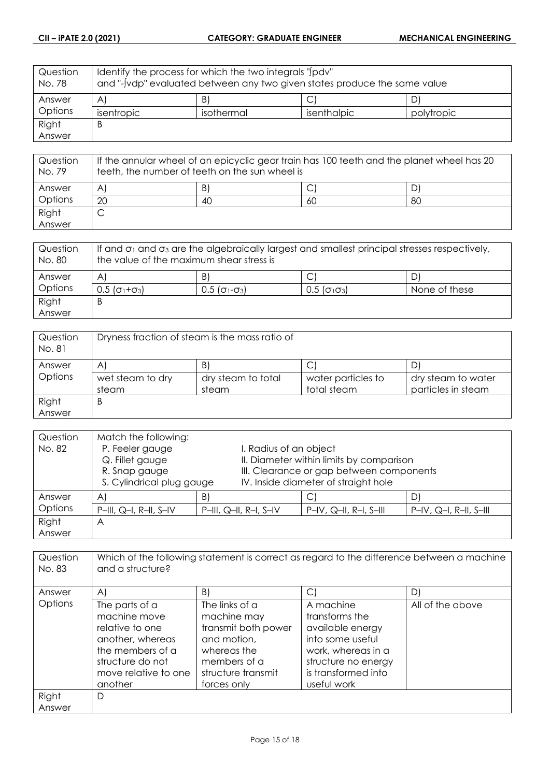| Question<br>No. 78 | ldentify the process for which the two integrals "Jpdy"<br>and "-[vdp" evaluated between any two given states produce the same value |            |             |            |
|--------------------|--------------------------------------------------------------------------------------------------------------------------------------|------------|-------------|------------|
| Answer             | $\forall$                                                                                                                            | B)         |             | D)         |
| Options            | isentropic                                                                                                                           | isothermal | isenthalpic | polytropic |
| Right              | B                                                                                                                                    |            |             |            |
| Answer             |                                                                                                                                      |            |             |            |

| Question<br>No. 79 | If the annular wheel of an epicyclic gear train has 100 teeth and the planet wheel has 20<br>teeth, the number of teeth on the sun wheel is |    |    |    |
|--------------------|---------------------------------------------------------------------------------------------------------------------------------------------|----|----|----|
| Answer             | A                                                                                                                                           | B. |    |    |
| Options            | 20                                                                                                                                          | 40 | 60 | 80 |
| Right              |                                                                                                                                             |    |    |    |
| Answer             |                                                                                                                                             |    |    |    |

| Question<br>No. 80 | If and $\sigma_1$ and $\sigma_3$ are the algebraically largest and smallest principal stresses respectively,<br>the value of the maximum shear stress is |                                                         |                                                       |               |
|--------------------|----------------------------------------------------------------------------------------------------------------------------------------------------------|---------------------------------------------------------|-------------------------------------------------------|---------------|
| Answer             | $\mathsf{A}^{\cdot}$                                                                                                                                     | B                                                       |                                                       |               |
| Options            | $0.5$ ( $\sigma_1 + \sigma_3$ )                                                                                                                          | $0.5$ ( $\sigma$ <sub>1</sub> - $\sigma$ <sub>3</sub> ) | $0.5$ ( $\sigma$ <sub>1</sub> $\sigma$ <sub>3</sub> ) | None of these |
| Right              | B                                                                                                                                                        |                                                         |                                                       |               |
| Answer             |                                                                                                                                                          |                                                         |                                                       |               |

| Question<br>No. 81 | Dryness fraction of steam is the mass ratio of |                    |                    |                    |  |
|--------------------|------------------------------------------------|--------------------|--------------------|--------------------|--|
| Answer             | A                                              | B)                 |                    |                    |  |
| Options            | wet steam to dry                               | dry steam to total | water particles to | dry steam to water |  |
|                    | steam                                          | steam              | total steam        | particles in steam |  |
| Right              | Β                                              |                    |                    |                    |  |
| Answer             |                                                |                    |                    |                    |  |

| Question | Match the following:      |    |                                          |                                          |                          |
|----------|---------------------------|----|------------------------------------------|------------------------------------------|--------------------------|
| No. 82   | P. Feeler gauge           |    | I. Radius of an object                   |                                          |                          |
|          | Q. Fillet gauge           |    | II. Diameter within limits by comparison |                                          |                          |
|          | R. Snap gauge             |    |                                          | III. Clearance or gap between components |                          |
|          | S. Cylindrical plug gauge |    |                                          | IV. Inside diameter of straight hole     |                          |
| Answer   | A'                        | B) |                                          | С                                        |                          |
| Options  | $P-III$ , Q-I, R-II, S-IV |    | $P-III$ , Q-II, R-I, S-IV                | $P-N$ , Q-II, R-I, S-III                 | $P-N$ , Q-I, R-II, S-III |
| Right    | Α                         |    |                                          |                                          |                          |
| Answer   |                           |    |                                          |                                          |                          |

| Question<br>No. 83 | Which of the following statement is correct as regard to the difference between a machine<br>and a structure?                                    |                                                                                                                                         |                                                                                                                                                        |                  |  |
|--------------------|--------------------------------------------------------------------------------------------------------------------------------------------------|-----------------------------------------------------------------------------------------------------------------------------------------|--------------------------------------------------------------------------------------------------------------------------------------------------------|------------------|--|
| Answer             | A)                                                                                                                                               | B)                                                                                                                                      | $\vert$ C                                                                                                                                              | D)               |  |
| Options            | The parts of a<br>machine move<br>relative to one<br>another, whereas<br>the members of a<br>structure do not<br>move relative to one<br>another | The links of a<br>machine may<br>transmit both power<br>and motion,<br>whereas the<br>members of a<br>structure transmit<br>forces only | A machine<br>transforms the<br>available energy<br>into some useful<br>work, whereas in a<br>structure no energy<br>is transformed into<br>useful work | All of the above |  |
| Right<br>Answer    | D                                                                                                                                                |                                                                                                                                         |                                                                                                                                                        |                  |  |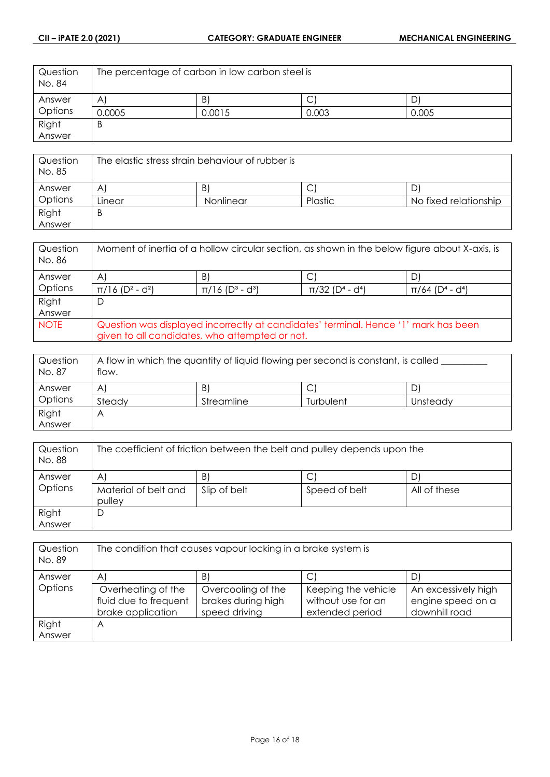| Question<br>No. 84 | The percentage of carbon in low carbon steel is |        |       |       |
|--------------------|-------------------------------------------------|--------|-------|-------|
| Answer             | $\mathsf{A}$                                    | B      | ◡     | D     |
| Options            | 0.0005                                          | 0.0015 | 0.003 | 0.005 |
| Right              | D                                               |        |       |       |
| Answer             |                                                 |        |       |       |

| Question<br>No. 85 | The elastic stress strain behaviour of rubber is |                 |         |                       |
|--------------------|--------------------------------------------------|-----------------|---------|-----------------------|
| Answer             | $\overline{A}$                                   | $\vert B \vert$ | ◡       |                       |
| Options            | Linear                                           | Nonlinear       | Plastic | No fixed relationship |
| Right              | Β                                                |                 |         |                       |
| Answer             |                                                  |                 |         |                       |

| Question<br>No. 86 | Moment of inertia of a hollow circular section, as shown in the below figure about X-axis, is |                                                |                                             |                                             |
|--------------------|-----------------------------------------------------------------------------------------------|------------------------------------------------|---------------------------------------------|---------------------------------------------|
| Answer             | $\mathsf{A}$                                                                                  | B)                                             | C                                           |                                             |
| Options            | $\pi/16$ (D <sup>2</sup> - d <sup>2</sup> )                                                   | $\pi/16$ (D <sup>3</sup> - d <sup>3</sup> )    | $\pi/32$ (D <sup>4</sup> - d <sup>4</sup> ) | $\pi/64$ (D <sup>4</sup> - d <sup>4</sup> ) |
| Right              | D                                                                                             |                                                |                                             |                                             |
| Answer             |                                                                                               |                                                |                                             |                                             |
| <b>NOTE</b>        | Question was displayed incorrectly at candidates' terminal. Hence '1' mark has been           |                                                |                                             |                                             |
|                    |                                                                                               | given to all candidates, who attempted or not. |                                             |                                             |

| Question<br>No. 87 | A flow in which the quantity of liquid flowing per second is constant, is called<br>flow. |            |           |          |
|--------------------|-------------------------------------------------------------------------------------------|------------|-----------|----------|
| Answer             | A                                                                                         | B'         | ◡         |          |
| Options            | Steady                                                                                    | Streamline | Turbulent | Unsteady |
| Right              | Α                                                                                         |            |           |          |
| Answer             |                                                                                           |            |           |          |

| Question<br>No. 88 | The coefficient of friction between the belt and pulley depends upon the |                   |                    |              |
|--------------------|--------------------------------------------------------------------------|-------------------|--------------------|--------------|
| Answer<br>Options  | $\mathsf{A}$<br>Material of belt and<br>pulley                           | B<br>Slip of belt | ◡<br>Speed of belt | All of these |
| Right<br>Answer    | D                                                                        |                   |                    |              |

| Question<br>No. 89 | The condition that causes vapour locking in a brake system is |                    |                     |                     |
|--------------------|---------------------------------------------------------------|--------------------|---------------------|---------------------|
| Answer             | $\mathsf{A}$                                                  | B)                 |                     | D                   |
| Options            | Overheating of the                                            | Overcooling of the | Keeping the vehicle | An excessively high |
|                    | fluid due to frequent                                         | brakes during high | without use for an  | engine speed on a   |
|                    | brake application                                             | speed driving      | extended period     | downhill road       |
| Right              | Α                                                             |                    |                     |                     |
| Answer             |                                                               |                    |                     |                     |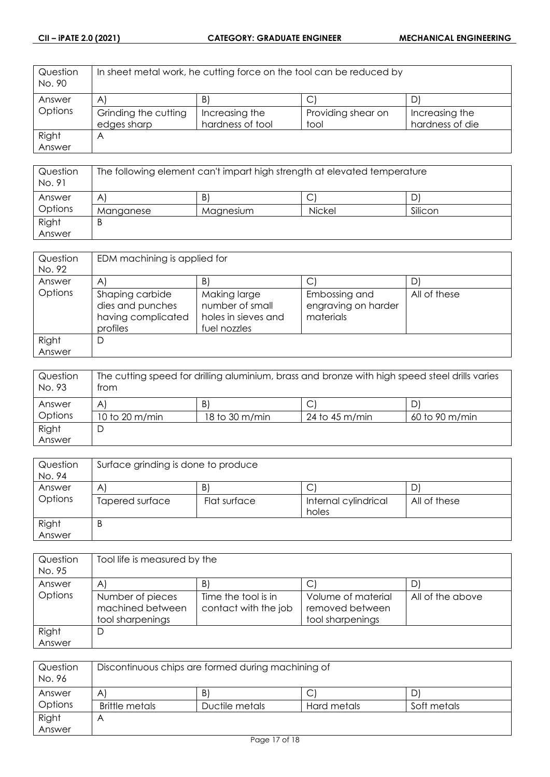| Question<br>No. 90 | In sheet metal work, he cutting force on the tool can be reduced by |                  |                    |                 |
|--------------------|---------------------------------------------------------------------|------------------|--------------------|-----------------|
| Answer             | $\mathsf{A}$                                                        | B)               |                    | D               |
| Options            | Grinding the cutting                                                | Increasing the   | Providing shear on | Increasing the  |
|                    | edges sharp                                                         | hardness of tool | tool               | hardness of die |
| Right              | A                                                                   |                  |                    |                 |
| Answer             |                                                                     |                  |                    |                 |

| Question<br>No. 91 | The following element can't impart high strength at elevated temperature |           |               |         |
|--------------------|--------------------------------------------------------------------------|-----------|---------------|---------|
| Answer             | $\mathsf{A}^{\cdot}$                                                     | B)        | ◡             |         |
| Options            | Manganese                                                                | Magnesium | <b>Nickel</b> | Silicon |
| Right              | B                                                                        |           |               |         |
| Answer             |                                                                          |           |               |         |

| Question<br>No. 92 | EDM machining is applied for                                          |                                                                        |                                                   |              |
|--------------------|-----------------------------------------------------------------------|------------------------------------------------------------------------|---------------------------------------------------|--------------|
| Answer             | A                                                                     | B                                                                      |                                                   |              |
| Options            | Shaping carbide<br>dies and punches<br>having complicated<br>profiles | Making large<br>number of small<br>holes in sieves and<br>fuel nozzles | Embossing and<br>engraving on harder<br>materials | All of these |
| Right              | D                                                                     |                                                                        |                                                   |              |
| Answer             |                                                                       |                                                                        |                                                   |              |

| Question<br>No. 93 | The cutting speed for drilling aluminium, brass and bronze with high speed steel drills varies<br>trom |                |                |                |
|--------------------|--------------------------------------------------------------------------------------------------------|----------------|----------------|----------------|
| Answer             | A                                                                                                      | B)             | C              |                |
| Options            | 10 to 20 m/min                                                                                         | 18 to 30 m/min | 24 to 45 m/min | 60 to 90 m/min |
| Right              | D                                                                                                      |                |                |                |
| Answer             |                                                                                                        |                |                |                |

| Question<br>No. 94 | Surface grinding is done to produce |              |                               |              |  |
|--------------------|-------------------------------------|--------------|-------------------------------|--------------|--|
| Answer             | A                                   | B            | С                             |              |  |
| Options            | Tapered surface                     | Flat surface | Internal cylindrical<br>holes | All of these |  |
| Right<br>Answer    | B                                   |              |                               |              |  |

| Question<br>No. 95 | Tool life is measured by the                             |                                             |                                                           |                  |
|--------------------|----------------------------------------------------------|---------------------------------------------|-----------------------------------------------------------|------------------|
| Answer             | A                                                        | B)                                          | С                                                         |                  |
| Options            | Number of pieces<br>machined between<br>tool sharpenings | Time the tool is in<br>contact with the job | Volume of material<br>removed between<br>tool sharpenings | All of the above |
| Right              | D                                                        |                                             |                                                           |                  |
| Answer             |                                                          |                                             |                                                           |                  |

| Question<br>No. 96 | Discontinuous chips are formed during machining of |                |             |             |
|--------------------|----------------------------------------------------|----------------|-------------|-------------|
| Answer             | A'                                                 | B              | ◡           | D           |
| Options            | <b>Brittle metals</b>                              | Ductile metals | Hard metals | Soft metals |
| Right              | Α                                                  |                |             |             |
| Answer             |                                                    |                |             |             |